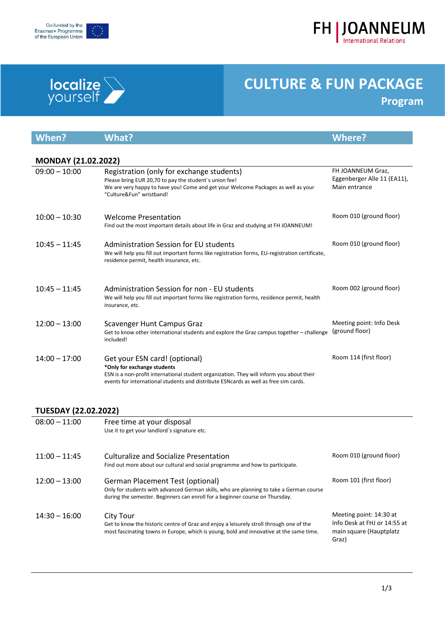





| When?                       | <b>What?</b>                                                                                                                                                                                                                                      | <b>Where?</b>                                                                               |  |  |
|-----------------------------|---------------------------------------------------------------------------------------------------------------------------------------------------------------------------------------------------------------------------------------------------|---------------------------------------------------------------------------------------------|--|--|
| <b>MONDAY (21.02.2022)</b>  |                                                                                                                                                                                                                                                   |                                                                                             |  |  |
| $09:00 - 10:00$             | Registration (only for exchange students)<br>Please bring EUR 20,70 to pay the student's union fee!<br>We are very happy to have you! Come and get your Welcome Packages as well as your<br>"Culture&Fun" wristband!                              | FH JOANNEUM Graz,<br>Eggenberger Alle 11 (EA11),<br>Main entrance                           |  |  |
| $10:00 - 10:30$             | <b>Welcome Presentation</b><br>Find out the most important details about life in Graz and studying at FH JOANNEUM!                                                                                                                                | Room 010 (ground floor)                                                                     |  |  |
| $10:45 - 11:45$             | Administration Session for EU students<br>We will help you fill out important forms like registration forms, EU-registration certificate,<br>residence permit, health insurance, etc.                                                             | Room 010 (ground floor)                                                                     |  |  |
| $10:45 - 11:45$             | Administration Session for non - EU students<br>We will help you fill out important forms like registration forms, residence permit, health<br>insurance, etc.                                                                                    | Room 002 (ground floor)                                                                     |  |  |
| $12:00 - 13:00$             | Scavenger Hunt Campus Graz<br>Get to know other international students and explore the Graz campus together - challenge<br>included!                                                                                                              | Meeting point: Info Desk<br>(ground floor)                                                  |  |  |
| $14:00 - 17:00$             | Get your ESN card! (optional)<br>*Only for exchange students<br>ESN is a non-profit international student organization. They will inform you about their<br>events for international students and distribute ESN cards as well as free sim cards. | Room 114 (first floor)                                                                      |  |  |
| <b>TUESDAY (22.02.2022)</b> |                                                                                                                                                                                                                                                   |                                                                                             |  |  |
| $08:00 - 11:00$             | Free time at your disposal<br>Use it to get your landlord's signature etc.                                                                                                                                                                        |                                                                                             |  |  |
| $11:00 - 11:45$             | <b>Culturalize and Socialize Presentation</b><br>Find out more about our cultural and social programme and how to participate.                                                                                                                    | Room 010 (ground floor)                                                                     |  |  |
| $12:00 - 13:00$             | <b>German Placement Test (optional)</b><br>Only for students with advanced German skills, who are planning to take a German course<br>during the semester. Beginners can enroll for a beginner course on Thursday.                                | Room 101 (first floor)                                                                      |  |  |
| $14:30 - 16:00$             | <b>City Tour</b><br>Get to know the historic centre of Graz and enjoy a leisurely stroll through one of the<br>most fascinating towns in Europe, which is young, bold and innovative at the same time.                                            | Meeting point: 14:30 at<br>Info Desk at FHJ or 14:55 at<br>main square (Hauptplatz<br>Graz) |  |  |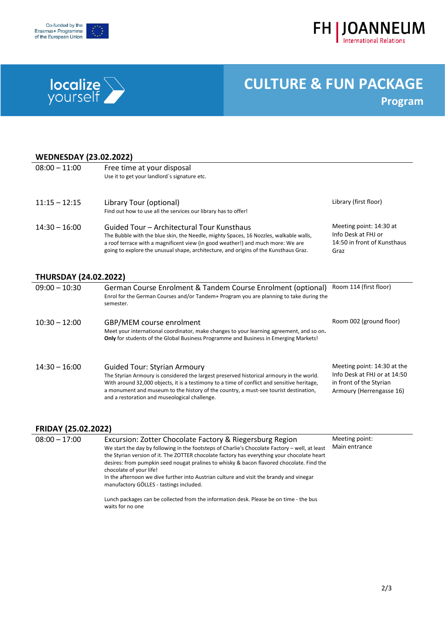





### **WEDNESDAY (23.02.2022)**<br>08:00 = 11:00 **Execution**

| $08:00 - 11:00$ | Free time at your disposal<br>Use it to get your landlord's signature etc.                                                                                                                                                                                                                                     |                                                                                       |
|-----------------|----------------------------------------------------------------------------------------------------------------------------------------------------------------------------------------------------------------------------------------------------------------------------------------------------------------|---------------------------------------------------------------------------------------|
| $11:15 - 12:15$ | Library Tour (optional)<br>Find out how to use all the services our library has to offer!                                                                                                                                                                                                                      | Library (first floor)                                                                 |
| $14:30 - 16:00$ | Guided Tour – Architectural Tour Kunsthaus<br>The Bubble with the blue skin, the Needle, mighty Spaces, 16 Nozzles, walkable walls,<br>a roof terrace with a magnificent view (in good weather!) and much more: We are<br>going to explore the unusual shape, architecture, and origins of the Kunsthaus Graz. | Meeting point: 14:30 at<br>Info Desk at FHJ or<br>14:50 in front of Kunsthaus<br>Graz |

#### **THURSDAY (24.02.2022)**

| $09:00 - 10:30$ | German Course Enrolment & Tandem Course Enrolment (optional)<br>Enrol for the German Courses and/or Tandem+ Program you are planning to take during the<br>semester.                                                                                                                                                                                                    | Room 114 (first floor)                                                                                             |
|-----------------|-------------------------------------------------------------------------------------------------------------------------------------------------------------------------------------------------------------------------------------------------------------------------------------------------------------------------------------------------------------------------|--------------------------------------------------------------------------------------------------------------------|
| $10:30 - 12:00$ | GBP/MEM course enrolment<br>Meet your international coordinator, make changes to your learning agreement, and so on.<br><b>Only</b> for students of the Global Business Programme and Business in Emerging Markets!                                                                                                                                                     | Room 002 (ground floor)                                                                                            |
| $14:30 - 16:00$ | <b>Guided Tour: Styrian Armoury</b><br>The Styrian Armoury is considered the largest preserved historical armoury in the world.<br>With around 32,000 objects, it is a testimony to a time of conflict and sensitive heritage,<br>a monument and museum to the history of the country, a must-see tourist destination,<br>and a restoration and museological challenge. | Meeting point: 14:30 at the<br>Info Desk at FHJ or at 14:50<br>in front of the Styrian<br>Armoury (Herrengasse 16) |

#### **FRIDAY (25.02.2022)**

| $08:00 - 17:00$ | Excursion: Zotter Chocolate Factory & Riegersburg Region<br>We start the day by following in the footsteps of Charlie's Chocolate Factory - well, at least<br>the Styrian version of it. The ZOTTER chocolate factory has everything your chocolate heart<br>desires: from pumpkin seed nougat pralines to whisky & bacon flavored chocolate. Find the<br>chocolate of your life!<br>In the afternoon we dive further into Austrian culture and visit the brandy and vinegar<br>manufactory GÖLLES - tastings included. | Meeting point:<br>Main entrance |
|-----------------|-------------------------------------------------------------------------------------------------------------------------------------------------------------------------------------------------------------------------------------------------------------------------------------------------------------------------------------------------------------------------------------------------------------------------------------------------------------------------------------------------------------------------|---------------------------------|
|                 | Lunch packages can be collected from the information desk. Please be on time - the bus<br>waits for no one                                                                                                                                                                                                                                                                                                                                                                                                              |                                 |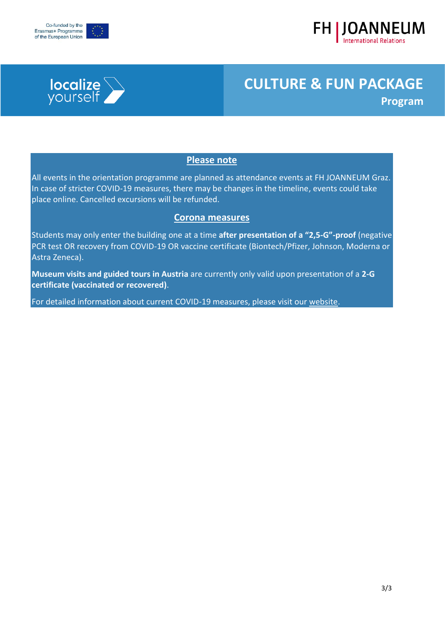





### **Please note**

All events in the orientation programme are planned as attendance events at FH JOANNEUM Graz. In case of stricter COVID-19 measures, there may be changes in the timeline, events could take place online. Cancelled excursions will be refunded.

#### **Corona measures**

Students may only enter the building one at a time **after presentation of a "2,5-G"-proof** (negative PCR test OR recovery from COVID-19 OR vaccine certificate (Biontech/Pfizer, Johnson, Moderna or Astra Zeneca).

**Museum visits and guided tours in Austria** are currently only valid upon presentation of a **2-G certificate (vaccinated or recovered)**.

For detailed information about current COVID-19 measures, please visit our [website.](https://www.fh-joanneum.at/en/blog/covid-19-update-the-winter-semester-starts-with-presence-first/)